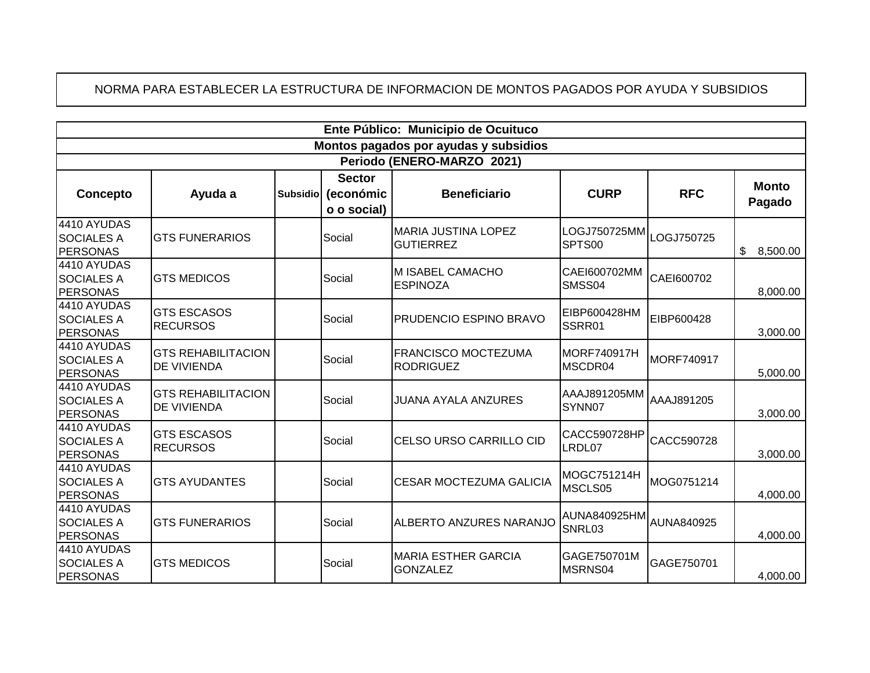## NORMA PARA ESTABLECER LA ESTRUCTURA DE INFORMACION DE MONTOS PAGADOS POR AYUDA Y SUBSIDIOS

| Ente Público: Municipio de Ocuituco                 |                                                 |                 |                            |                                                |                                   |                   |                        |  |  |  |
|-----------------------------------------------------|-------------------------------------------------|-----------------|----------------------------|------------------------------------------------|-----------------------------------|-------------------|------------------------|--|--|--|
| Montos pagados por ayudas y subsidios               |                                                 |                 |                            |                                                |                                   |                   |                        |  |  |  |
| Periodo (ENERO-MARZO 2021)                          |                                                 |                 |                            |                                                |                                   |                   |                        |  |  |  |
| Concepto                                            | Ayuda a                                         | <b>Subsidio</b> | <b>Sector</b><br>(económic | <b>Beneficiario</b>                            | <b>CURP</b>                       | <b>RFC</b>        | <b>Monto</b><br>Pagado |  |  |  |
|                                                     |                                                 |                 | o o social)                |                                                |                                   |                   |                        |  |  |  |
| 4410 AYUDAS<br><b>SOCIALES A</b><br><b>PERSONAS</b> | <b>GTS FUNERARIOS</b>                           |                 | Social                     | <b>MARIA JUSTINA LOPEZ</b><br><b>GUTIERREZ</b> | LOGJ750725MM<br>SPTS00            | LOGJ750725        | \$<br>8,500.00         |  |  |  |
| 4410 AYUDAS<br><b>SOCIALES A</b><br><b>PERSONAS</b> | <b>GTS MEDICOS</b>                              |                 | Social                     | M ISABEL CAMACHO<br><b>ESPINOZA</b>            | CAEI600702MM<br>SMSS04            | CAE1600702        | 8,000.00               |  |  |  |
| 4410 AYUDAS<br><b>SOCIALES A</b><br><b>PERSONAS</b> | <b>GTS ESCASOS</b><br><b>RECURSOS</b>           |                 | Social                     | PRUDENCIO ESPINO BRAVO                         | EIBP600428HM<br>SSRR01            | EIBP600428        | 3,000.00               |  |  |  |
| 4410 AYUDAS<br><b>SOCIALES A</b><br><b>PERSONAS</b> | <b>GTS REHABILITACION</b><br><b>DE VIVIENDA</b> |                 | Social                     | <b>FRANCISCO MOCTEZUMA</b><br><b>RODRIGUEZ</b> | <b>MORF740917H</b><br>MSCDR04     | <b>MORF740917</b> | 5,000.00               |  |  |  |
| 4410 AYUDAS<br><b>SOCIALES A</b><br><b>PERSONAS</b> | <b>GTS REHABILITACION</b><br>DE VIVIENDA        |                 | Social                     | <b>JUANA AYALA ANZURES</b>                     | AAAJ891205MM<br>SYNN07            | AAAJ891205        | 3,000.00               |  |  |  |
| 4410 AYUDAS<br><b>SOCIALES A</b><br><b>PERSONAS</b> | <b>GTS ESCASOS</b><br><b>RECURSOS</b>           |                 | Social                     | CELSO URSO CARRILLO CID                        | CACC590728HP<br>LRDL07            | CACC590728        | 3,000.00               |  |  |  |
| 4410 AYUDAS<br><b>SOCIALES A</b><br><b>PERSONAS</b> | <b>GTS AYUDANTES</b>                            |                 | Social                     | <b>CESAR MOCTEZUMA GALICIA</b>                 | MOGC751214H<br>MSCLS05            | MOG0751214        | 4,000.00               |  |  |  |
| 4410 AYUDAS<br><b>SOCIALES A</b><br><b>PERSONAS</b> | <b>GTS FUNERARIOS</b>                           |                 | Social                     | ALBERTO ANZURES NARANJO                        | AUNA840925HM AUNA840925<br>SNRL03 |                   | 4,000.00               |  |  |  |
| 4410 AYUDAS<br><b>SOCIALES A</b><br><b>PERSONAS</b> | <b>GTS MEDICOS</b>                              |                 | Social                     | <b>MARIA ESTHER GARCIA</b><br><b>GONZALEZ</b>  | GAGE750701M<br>MSRNS04            | GAGE750701        | 4,000.00               |  |  |  |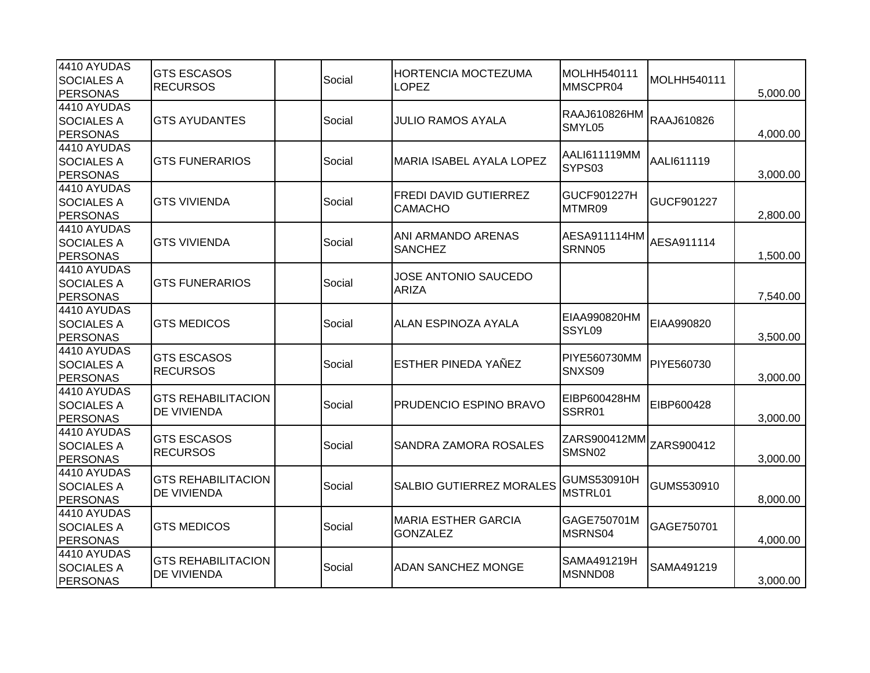| 4410 AYUDAS<br><b>SOCIALES A</b><br><b>PERSONAS</b> | <b>GTS ESCASOS</b><br><b>RECURSOS</b>           | Social | <b>HORTENCIA MOCTEZUMA</b><br><b>LOPEZ</b>     | MOLHH540111<br>MMSCPR04           | MOLHH540111 | 5,000.00 |
|-----------------------------------------------------|-------------------------------------------------|--------|------------------------------------------------|-----------------------------------|-------------|----------|
| 4410 AYUDAS<br><b>SOCIALES A</b><br><b>PERSONAS</b> | <b>GTS AYUDANTES</b>                            | Social | <b>JULIO RAMOS AYALA</b>                       | RAAJ610826HM<br>SMYL05            | RAAJ610826  | 4,000.00 |
| 4410 AYUDAS<br><b>SOCIALES A</b><br>PERSONAS        | <b>GTS FUNERARIOS</b>                           | Social | MARIA ISABEL AYALA LOPEZ                       | AALI611119MM<br>SYPS03            | AALI611119  | 3,000.00 |
| 4410 AYUDAS<br><b>SOCIALES A</b><br>PERSONAS        | <b>GTS VIVIENDA</b>                             | Social | <b>FREDI DAVID GUTIERREZ</b><br><b>CAMACHO</b> | GUCF901227H<br>MTMR09             | GUCF901227  | 2,800.00 |
| 4410 AYUDAS<br><b>SOCIALES A</b><br><b>PERSONAS</b> | <b>GTS VIVIENDA</b>                             | Social | ANI ARMANDO ARENAS<br><b>SANCHEZ</b>           | AESA911114HM AESA911114<br>SRNN05 |             | 1,500.00 |
| 4410 AYUDAS<br><b>SOCIALES A</b><br><b>PERSONAS</b> | <b>GTS FUNERARIOS</b>                           | Social | <b>JOSE ANTONIO SAUCEDO</b><br><b>ARIZA</b>    |                                   |             | 7,540.00 |
| 4410 AYUDAS<br><b>SOCIALES A</b><br><b>PERSONAS</b> | <b>GTS MEDICOS</b>                              | Social | <b>ALAN ESPINOZA AYALA</b>                     | EIAA990820HM<br>SSYL09            | EIAA990820  | 3,500.00 |
| 4410 AYUDAS<br><b>SOCIALES A</b><br><b>PERSONAS</b> | <b>GTS ESCASOS</b><br><b>RECURSOS</b>           | Social | <b>ESTHER PINEDA YAÑEZ</b>                     | <b>PIYE560730MM</b><br>SNXS09     | PIYE560730  | 3,000.00 |
| 4410 AYUDAS<br><b>SOCIALES A</b><br><b>PERSONAS</b> | <b>GTS REHABILITACION</b><br><b>DE VIVIENDA</b> | Social | <b>PRUDENCIO ESPINO BRAVO</b>                  | EIBP600428HM<br>SSRR01            | EIBP600428  | 3,000.00 |
| 4410 AYUDAS<br><b>SOCIALES A</b><br>PERSONAS        | <b>GTS ESCASOS</b><br><b>RECURSOS</b>           | Social | SANDRA ZAMORA ROSALES                          | ZARS900412MM<br>SMSN02            | ZARS900412  | 3,000.00 |
| 4410 AYUDAS<br><b>SOCIALES A</b><br><b>PERSONAS</b> | <b>GTS REHABILITACION</b><br><b>DE VIVIENDA</b> | Social | SALBIO GUTIERREZ MORALES                       | GUMS530910H<br>MSTRL01            | GUMS530910  | 8,000.00 |
| 4410 AYUDAS<br><b>SOCIALES A</b><br><b>PERSONAS</b> | <b>GTS MEDICOS</b>                              | Social | <b>MARIA ESTHER GARCIA</b><br><b>GONZALEZ</b>  | GAGE750701M<br>MSRNS04            | GAGE750701  | 4,000.00 |
| 4410 AYUDAS<br><b>SOCIALES A</b><br>PERSONAS        | <b>GTS REHABILITACION</b><br><b>DE VIVIENDA</b> | Social | <b>ADAN SANCHEZ MONGE</b>                      | SAMA491219H<br>MSNND08            | SAMA491219  | 3,000.00 |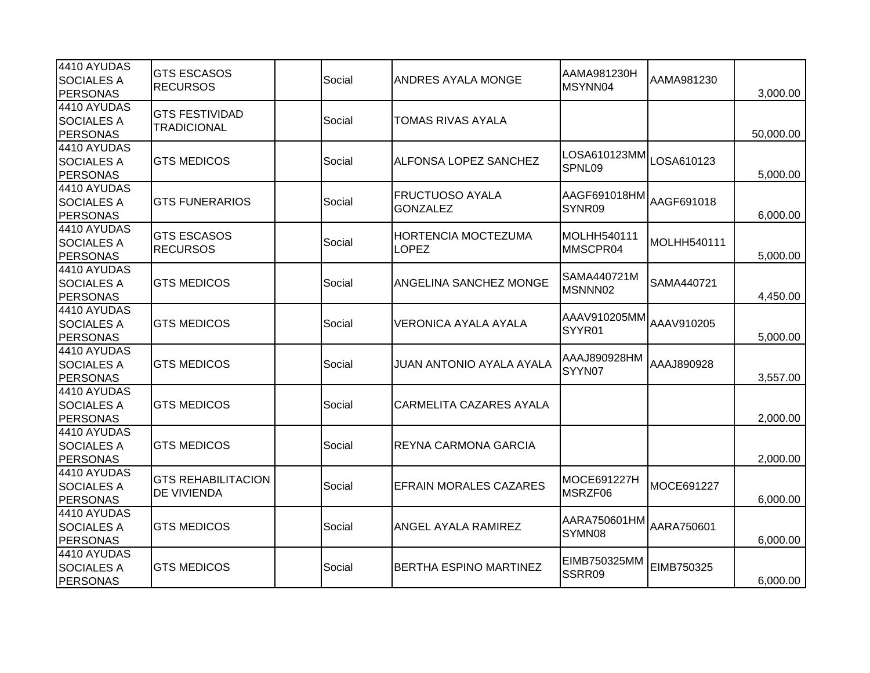| 4410 AYUDAS<br><b>SOCIALES A</b><br><b>PERSONAS</b> | <b>GTS ESCASOS</b><br><b>RECURSOS</b>       | Social | ANDRES AYALA MONGE                         | AAMA981230H<br>MSYNN04  | AAMA981230  | 3,000.00  |
|-----------------------------------------------------|---------------------------------------------|--------|--------------------------------------------|-------------------------|-------------|-----------|
| 4410 AYUDAS<br><b>SOCIALES A</b><br><b>PERSONAS</b> | <b>GTS FESTIVIDAD</b><br><b>TRADICIONAL</b> | Social | TOMAS RIVAS AYALA                          |                         |             | 50,000.00 |
| 4410 AYUDAS<br><b>SOCIALES A</b><br><b>PERSONAS</b> | <b>GTS MEDICOS</b>                          | Social | ALFONSA LOPEZ SANCHEZ                      | LOSA610123MM<br>SPNL09  | LOSA610123  | 5,000.00  |
| 4410 AYUDAS<br><b>SOCIALES A</b><br><b>PERSONAS</b> | <b>GTS FUNERARIOS</b>                       | Social | <b>FRUCTUOSO AYALA</b><br><b>GONZALEZ</b>  | AAGF691018HM<br>SYNR09  | AAGF691018  | 6,000.00  |
| 4410 AYUDAS<br><b>SOCIALES A</b><br><b>PERSONAS</b> | <b>GTS ESCASOS</b><br><b>RECURSOS</b>       | Social | <b>HORTENCIA MOCTEZUMA</b><br><b>LOPEZ</b> | MOLHH540111<br>MMSCPR04 | MOLHH540111 | 5,000.00  |
| 4410 AYUDAS<br><b>SOCIALES A</b><br><b>PERSONAS</b> | <b>GTS MEDICOS</b>                          | Social | ANGELINA SANCHEZ MONGE                     | SAMA440721M<br>MSNNN02  | SAMA440721  | 4,450.00  |
| 4410 AYUDAS<br><b>SOCIALES A</b><br><b>PERSONAS</b> | <b>GTS MEDICOS</b>                          | Social | VERONICA AYALA AYALA                       | AAAV910205MM<br>SYYR01  | AAAV910205  | 5,000.00  |
| 4410 AYUDAS<br><b>SOCIALES A</b><br><b>PERSONAS</b> | <b>GTS MEDICOS</b>                          | Social | JUAN ANTONIO AYALA AYALA                   | AAAJ890928HM<br>SYYN07  | AAAJ890928  | 3,557.00  |
| 4410 AYUDAS<br><b>SOCIALES A</b><br><b>PERSONAS</b> | <b>GTS MEDICOS</b>                          | Social | CARMELITA CAZARES AYALA                    |                         |             | 2,000.00  |
| 4410 AYUDAS<br><b>SOCIALES A</b><br><b>PERSONAS</b> | <b>GTS MEDICOS</b>                          | Social | REYNA CARMONA GARCIA                       |                         |             | 2,000.00  |
| 4410 AYUDAS<br><b>SOCIALES A</b><br><b>PERSONAS</b> | <b>GTS REHABILITACION</b><br>DE VIVIENDA    | Social | <b>EFRAIN MORALES CAZARES</b>              | MOCE691227H<br>MSRZF06  | MOCE691227  | 6,000.00  |
| 4410 AYUDAS<br><b>SOCIALES A</b><br><b>PERSONAS</b> | <b>GTS MEDICOS</b>                          | Social | ANGEL AYALA RAMIREZ                        | AARA750601HM<br>SYMN08  | AARA750601  | 6,000.00  |
| 4410 AYUDAS<br><b>SOCIALES A</b><br><b>PERSONAS</b> | <b>GTS MEDICOS</b>                          | Social | <b>BERTHA ESPINO MARTINEZ</b>              | EIMB750325MM<br>SSRR09  | EIMB750325  | 6,000.00  |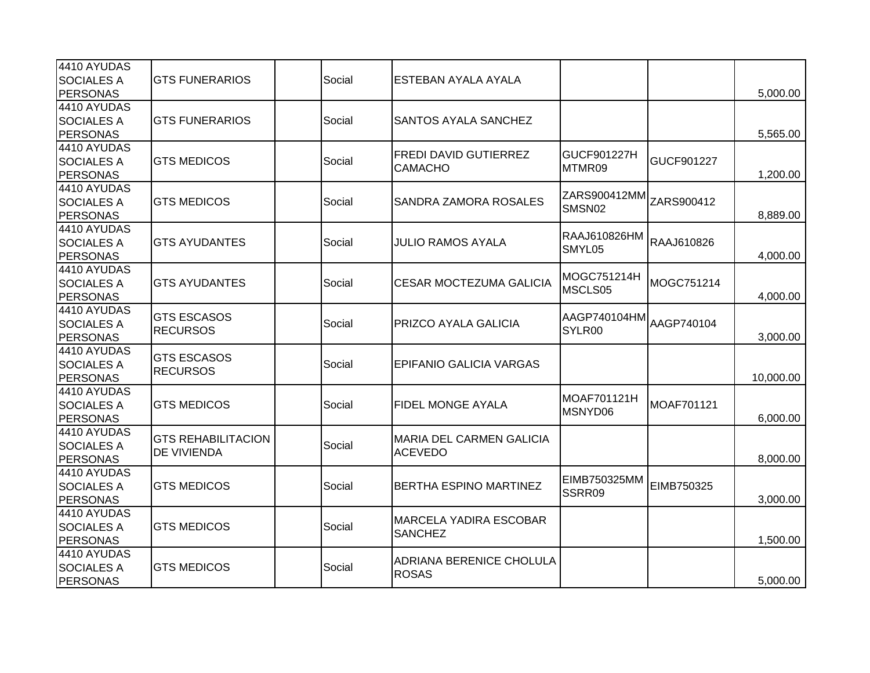| 4410 AYUDAS       |                           |        |                                          |                        |            |           |
|-------------------|---------------------------|--------|------------------------------------------|------------------------|------------|-----------|
| <b>SOCIALES A</b> | <b>GTS FUNERARIOS</b>     | Social | ESTEBAN AYALA AYALA                      |                        |            |           |
| <b>PERSONAS</b>   |                           |        |                                          |                        |            | 5,000.00  |
| 4410 AYUDAS       |                           |        |                                          |                        |            |           |
| <b>SOCIALES A</b> | <b>GTS FUNERARIOS</b>     | Social | <b>SANTOS AYALA SANCHEZ</b>              |                        |            |           |
| <b>PERSONAS</b>   |                           |        |                                          |                        |            | 5,565.00  |
| 4410 AYUDAS       |                           |        | <b>FREDI DAVID GUTIERREZ</b>             | GUCF901227H            |            |           |
| <b>SOCIALES A</b> | <b>GTS MEDICOS</b>        | Social |                                          | MTMR09                 | GUCF901227 |           |
| <b>PERSONAS</b>   |                           |        | CAMACHO                                  |                        |            | 1,200.00  |
| 4410 AYUDAS       |                           |        |                                          |                        |            |           |
| <b>SOCIALES A</b> | <b>GTS MEDICOS</b>        | Social | SANDRA ZAMORA ROSALES                    | ZARS900412MM<br>SMSN02 | ZARS900412 |           |
| <b>PERSONAS</b>   |                           |        |                                          |                        |            | 8,889.00  |
| 4410 AYUDAS       |                           |        |                                          |                        |            |           |
| <b>SOCIALES A</b> | <b>GTS AYUDANTES</b>      | Social | <b>JULIO RAMOS AYALA</b>                 | RAAJ610826HM           | RAAJ610826 |           |
| <b>PERSONAS</b>   |                           |        |                                          | SMYL05                 |            | 4,000.00  |
| 4410 AYUDAS       |                           |        |                                          | MOGC751214H            |            |           |
| <b>SOCIALES A</b> | <b>GTS AYUDANTES</b>      | Social | <b>CESAR MOCTEZUMA GALICIA</b>           | MSCLS05                | MOGC751214 |           |
| <b>PERSONAS</b>   |                           |        |                                          |                        |            | 4,000.00  |
| 4410 AYUDAS       | <b>GTS ESCASOS</b>        |        |                                          |                        |            |           |
| <b>SOCIALES A</b> | <b>RECURSOS</b>           | Social | PRIZCO AYALA GALICIA                     | AAGP740104HM<br>SYLR00 | AAGP740104 |           |
| <b>PERSONAS</b>   |                           |        |                                          |                        |            | 3,000.00  |
| 4410 AYUDAS       |                           |        |                                          |                        |            |           |
| <b>SOCIALES A</b> | <b>GTS ESCASOS</b>        | Social | <b>EPIFANIO GALICIA VARGAS</b>           |                        |            |           |
| <b>PERSONAS</b>   | <b>RECURSOS</b>           |        |                                          |                        |            | 10,000.00 |
| 4410 AYUDAS       |                           |        |                                          | MOAF701121H            |            |           |
| <b>SOCIALES A</b> | <b>GTS MEDICOS</b>        | Social | <b>FIDEL MONGE AYALA</b>                 |                        | MOAF701121 |           |
| <b>PERSONAS</b>   |                           |        |                                          | MSNYD06                |            | 6,000.00  |
| 4410 AYUDAS       | <b>GTS REHABILITACION</b> |        | <b>MARIA DEL CARMEN GALICIA</b>          |                        |            |           |
| <b>SOCIALES A</b> |                           | Social |                                          |                        |            |           |
| <b>PERSONAS</b>   | DE VIVIENDA               |        | <b>ACEVEDO</b>                           |                        |            | 8,000.00  |
| 4410 AYUDAS       |                           |        |                                          | EIMB750325MM           |            |           |
| <b>SOCIALES A</b> | <b>GTS MEDICOS</b>        | Social | <b>BERTHA ESPINO MARTINEZ</b>            | SSRR09                 | EIMB750325 |           |
| <b>PERSONAS</b>   |                           |        |                                          |                        |            | 3,000.00  |
| 4410 AYUDAS       |                           |        |                                          |                        |            |           |
| <b>SOCIALES A</b> | <b>GTS MEDICOS</b>        | Social | <b>MARCELA YADIRA ESCOBAR</b>            |                        |            |           |
| <b>PERSONAS</b>   |                           |        | <b>SANCHEZ</b>                           |                        |            | 1,500.00  |
| 4410 AYUDAS       |                           |        |                                          |                        |            |           |
| <b>SOCIALES A</b> | <b>GTS MEDICOS</b>        | Social | ADRIANA BERENICE CHOLULA<br><b>ROSAS</b> |                        |            |           |
| <b>PERSONAS</b>   |                           |        |                                          |                        |            | 5,000.00  |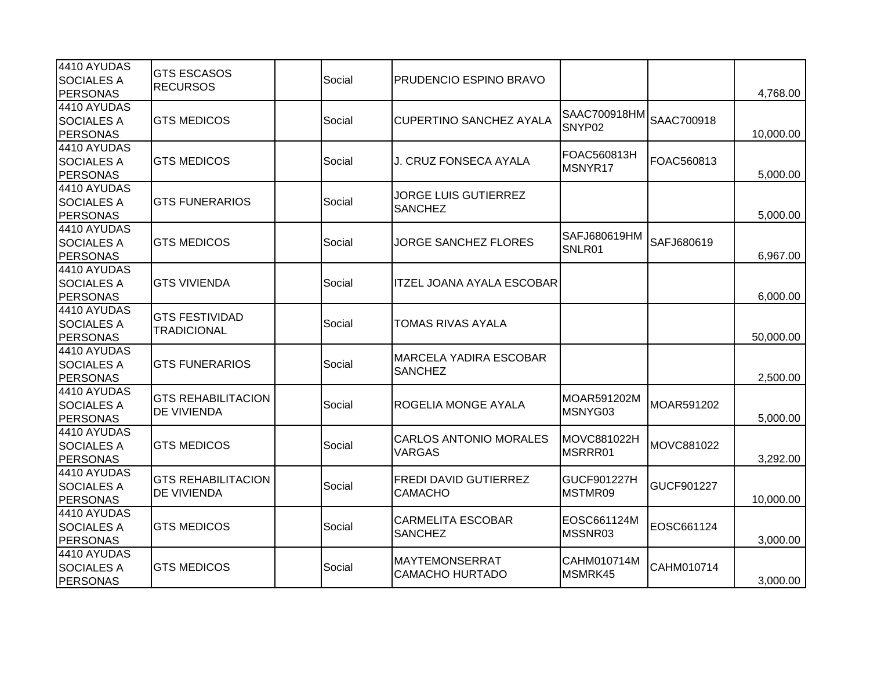| 4410 AYUDAS       | <b>GTS ESCASOS</b>        |        |        |                                  |                        |            |           |
|-------------------|---------------------------|--------|--------|----------------------------------|------------------------|------------|-----------|
| <b>SOCIALES A</b> | <b>RECURSOS</b>           |        | Social | <b>PRUDENCIO ESPINO BRAVO</b>    |                        |            |           |
| <b>PERSONAS</b>   |                           |        |        |                                  |                        |            | 4,768.00  |
| 4410 AYUDAS       |                           |        |        |                                  | SAAC700918HM           |            |           |
| <b>SOCIALES A</b> | <b>GTS MEDICOS</b>        |        | Social | CUPERTINO SANCHEZ AYALA          | SNYP02                 | SAAC700918 |           |
| PERSONAS          |                           |        |        |                                  |                        |            | 10,000.00 |
| 4410 AYUDAS       |                           |        |        |                                  | FOAC560813H            |            |           |
| <b>SOCIALES A</b> | <b>GTS MEDICOS</b>        |        | Social | J. CRUZ FONSECA AYALA            | MSNYR17                | FOAC560813 |           |
| <b>PERSONAS</b>   |                           |        |        |                                  |                        |            | 5,000.00  |
| 4410 AYUDAS       |                           |        |        | <b>JORGE LUIS GUTIERREZ</b>      |                        |            |           |
| <b>SOCIALES A</b> | <b>GTS FUNERARIOS</b>     |        | Social | <b>SANCHEZ</b>                   |                        |            |           |
| PERSONAS          |                           |        |        |                                  |                        |            | 5,000.00  |
| 4410 AYUDAS       |                           |        |        |                                  | SAFJ680619HM           |            |           |
| <b>SOCIALES A</b> | <b>GTS MEDICOS</b>        |        | Social | <b>JORGE SANCHEZ FLORES</b>      | SNLR01                 | SAFJ680619 |           |
| <b>PERSONAS</b>   |                           |        |        |                                  |                        |            | 6,967.00  |
| 4410 AYUDAS       |                           |        |        |                                  |                        |            |           |
| <b>SOCIALES A</b> | <b>GTS VIVIENDA</b>       |        | Social | <b>ITZEL JOANA AYALA ESCOBAR</b> |                        |            |           |
| <b>PERSONAS</b>   |                           |        |        |                                  |                        |            | 6,000.00  |
| 4410 AYUDAS       |                           |        |        |                                  |                        |            |           |
| <b>SOCIALES A</b> | <b>GTS FESTIVIDAD</b>     |        | Social | TOMAS RIVAS AYALA                |                        |            |           |
| PERSONAS          | <b>TRADICIONAL</b>        |        |        |                                  |                        |            | 50,000.00 |
| 4410 AYUDAS       |                           |        |        |                                  |                        |            |           |
| <b>SOCIALES A</b> | <b>GTS FUNERARIOS</b>     |        | Social | <b>MARCELA YADIRA ESCOBAR</b>    |                        |            |           |
| PERSONAS          |                           |        |        | <b>SANCHEZ</b>                   |                        |            | 2,500.00  |
| 4410 AYUDAS       |                           |        |        |                                  |                        |            |           |
| <b>SOCIALES A</b> | <b>GTS REHABILITACION</b> | Social |        | <b>ROGELIA MONGE AYALA</b>       | MOAR591202M<br>MSNYG03 | MOAR591202 |           |
| <b>PERSONAS</b>   | DE VIVIENDA               |        |        |                                  |                        |            | 5,000.00  |
| 4410 AYUDAS       |                           |        |        |                                  |                        |            |           |
| <b>SOCIALES A</b> | <b>GTS MEDICOS</b>        |        | Social | <b>CARLOS ANTONIO MORALES</b>    | MOVC881022H            | MOVC881022 |           |
| <b>PERSONAS</b>   |                           |        |        | <b>VARGAS</b>                    | MSRRR01                |            | 3,292.00  |
| 4410 AYUDAS       |                           |        |        |                                  |                        |            |           |
| <b>SOCIALES A</b> | <b>GTS REHABILITACION</b> |        | Social | <b>FREDI DAVID GUTIERREZ</b>     | GUCF901227H            | GUCF901227 |           |
| <b>PERSONAS</b>   | DE VIVIENDA               |        |        | <b>CAMACHO</b>                   | MSTMR09                |            | 10,000.00 |
| 4410 AYUDAS       |                           |        |        |                                  |                        |            |           |
| <b>SOCIALES A</b> | <b>GTS MEDICOS</b>        |        | Social | <b>CARMELITA ESCOBAR</b>         | EOSC661124M            | EOSC661124 |           |
| PERSONAS          |                           |        |        | <b>SANCHEZ</b>                   | MSSNR03                |            | 3,000.00  |
| 4410 AYUDAS       |                           |        |        |                                  |                        |            |           |
| <b>SOCIALES A</b> | <b>GTS MEDICOS</b>        |        | Social | <b>MAYTEMONSERRAT</b>            | CAHM010714M            | CAHM010714 |           |
| PERSONAS          |                           |        |        | <b>CAMACHO HURTADO</b>           | MSMRK45                |            | 3,000.00  |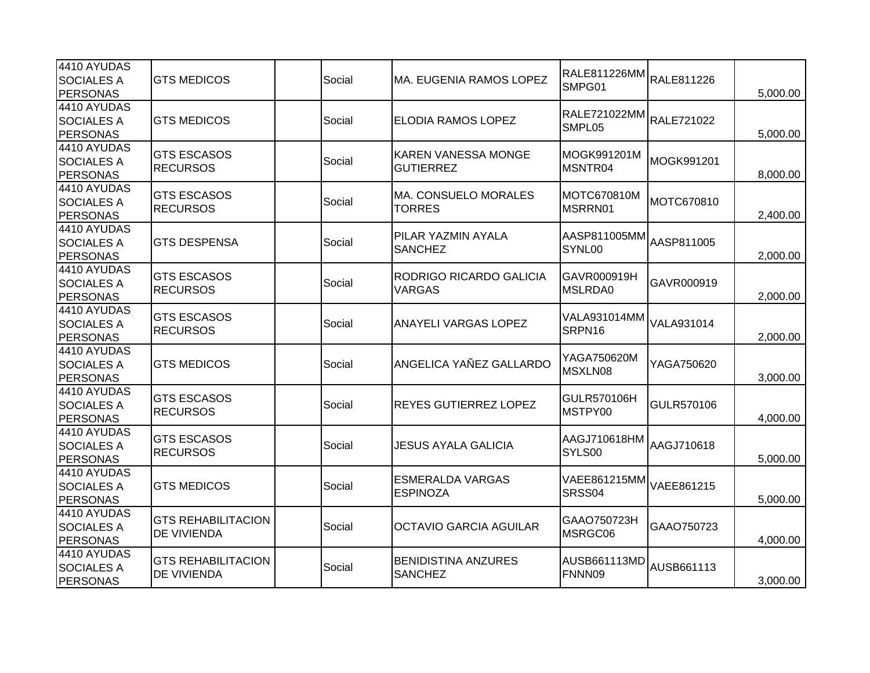| 4410 AYUDAS       |                           |        |        |                                            |                                               |            |          |  |                |        |  |          |
|-------------------|---------------------------|--------|--------|--------------------------------------------|-----------------------------------------------|------------|----------|--|----------------|--------|--|----------|
| <b>SOCIALES A</b> | <b>GTS MEDICOS</b>        |        | Social | MA. EUGENIA RAMOS LOPEZ                    | RALE811226MM <br>RALE811226<br>SMPG01         |            |          |  |                |        |  |          |
| <b>PERSONAS</b>   |                           |        |        |                                            |                                               |            | 5,000.00 |  |                |        |  |          |
| 4410 AYUDAS       |                           |        |        |                                            | RALE721022MM                                  |            |          |  |                |        |  |          |
| <b>SOCIALES A</b> | <b>GTS MEDICOS</b>        |        | Social | <b>ELODIA RAMOS LOPEZ</b>                  | SMPL05                                        | RALE721022 |          |  |                |        |  |          |
| <b>PERSONAS</b>   |                           |        |        |                                            |                                               |            | 5,000.00 |  |                |        |  |          |
| 4410 AYUDAS       | <b>GTS ESCASOS</b>        |        |        | <b>KAREN VANESSA MONGE</b>                 | MOGK991201M                                   |            |          |  |                |        |  |          |
| <b>SOCIALES A</b> | <b>RECURSOS</b>           |        | Social | <b>GUTIERREZ</b>                           | MSNTR04                                       | MOGK991201 |          |  |                |        |  |          |
| <b>PERSONAS</b>   |                           |        |        |                                            |                                               |            | 8,000.00 |  |                |        |  |          |
| 4410 AYUDAS       | <b>GTS ESCASOS</b>        |        |        | <b>MA. CONSUELO MORALES</b>                | MOTC670810M                                   |            |          |  |                |        |  |          |
| <b>SOCIALES A</b> | <b>RECURSOS</b>           |        | Social | <b>TORRES</b>                              | MSRRN01                                       | MOTC670810 |          |  |                |        |  |          |
| <b>PERSONAS</b>   |                           |        |        |                                            |                                               |            | 2,400.00 |  |                |        |  |          |
| 4410 AYUDAS       |                           |        |        | PILAR YAZMIN AYALA                         |                                               |            |          |  |                |        |  |          |
| <b>SOCIALES A</b> | <b>GTS DESPENSA</b>       |        | Social | <b>SANCHEZ</b>                             | AASP811005MM  <sub>AASP811005</sub><br>SYNL00 |            |          |  |                |        |  |          |
| <b>PERSONAS</b>   |                           |        |        |                                            |                                               |            | 2,000.00 |  |                |        |  |          |
| 4410 AYUDAS       | <b>GTS ESCASOS</b>        |        |        | <b>RODRIGO RICARDO GALICIA</b>             | GAVR000919H                                   |            |          |  |                |        |  |          |
| <b>SOCIALES A</b> | <b>RECURSOS</b>           |        | Social | <b>VARGAS</b>                              | MSLRDA0                                       | GAVR000919 |          |  |                |        |  |          |
| <b>PERSONAS</b>   |                           |        |        |                                            |                                               |            | 2,000.00 |  |                |        |  |          |
| 4410 AYUDAS       | <b>GTS ESCASOS</b>        | Social |        | <b>ANAYELI VARGAS LOPEZ</b>                | VALA931014MM<br>SRPN16                        |            |          |  |                |        |  |          |
| <b>SOCIALES A</b> |                           |        |        |                                            |                                               | VALA931014 |          |  |                |        |  |          |
| <b>PERSONAS</b>   | <b>RECURSOS</b>           |        |        |                                            |                                               | 2,000.00   |          |  |                |        |  |          |
| 4410 AYUDAS       |                           |        |        |                                            | YAGA750620M                                   |            |          |  |                |        |  |          |
| <b>SOCIALES A</b> | <b>GTS MEDICOS</b>        |        | Social | ANGELICA YAÑEZ GALLARDO                    | MSXLN08                                       | YAGA750620 |          |  |                |        |  |          |
| <b>PERSONAS</b>   |                           |        |        |                                            |                                               |            | 3,000.00 |  |                |        |  |          |
| 4410 AYUDAS       | <b>GTS ESCASOS</b>        |        |        |                                            | GULR570106H                                   |            |          |  |                |        |  |          |
| <b>SOCIALES A</b> | <b>RECURSOS</b>           |        | Social | <b>REYES GUTIERREZ LOPEZ</b>               | MSTPY00                                       | GULR570106 |          |  |                |        |  |          |
| <b>PERSONAS</b>   |                           |        |        |                                            |                                               |            | 4,000.00 |  |                |        |  |          |
| 4410 AYUDAS       |                           |        |        |                                            |                                               |            |          |  |                |        |  |          |
| <b>SOCIALES A</b> | <b>GTS ESCASOS</b>        |        | Social | JESUS AYALA GALICIA                        | AAGJ710618HM                                  | AAGJ710618 |          |  |                |        |  |          |
| <b>PERSONAS</b>   | <b>RECURSOS</b>           |        |        |                                            | SYLS00                                        |            | 5,000.00 |  |                |        |  |          |
| 4410 AYUDAS       |                           |        |        |                                            | VAEE861215MM                                  |            |          |  |                |        |  |          |
| <b>SOCIALES A</b> | <b>GTS MEDICOS</b>        |        | Social | <b>ESMERALDA VARGAS</b><br><b>ESPINOZA</b> | SRSS04                                        | VAEE861215 |          |  |                |        |  |          |
| <b>PERSONAS</b>   |                           |        |        |                                            |                                               |            | 5,000.00 |  |                |        |  |          |
| 4410 AYUDAS       |                           |        |        |                                            |                                               |            |          |  |                |        |  |          |
| <b>SOCIALES A</b> | <b>GTS REHABILITACION</b> |        | Social | <b>OCTAVIO GARCIA AGUILAR</b>              | GAAO750723H                                   | GAAO750723 |          |  |                |        |  |          |
| <b>PERSONAS</b>   | DE VIVIENDA               |        |        |                                            | MSRGC06                                       |            | 4,000.00 |  |                |        |  |          |
| 4410 AYUDAS       |                           |        |        |                                            |                                               |            |          |  |                |        |  |          |
| <b>SOCIALES A</b> | <b>GTS REHABILITACION</b> |        | Social | <b>BENIDISTINA ANZURES</b>                 | <b>AUSB661113MD</b>                           | AUSB661113 |          |  |                |        |  |          |
| <b>PERSONAS</b>   | DE VIVIENDA               |        |        |                                            |                                               |            |          |  | <b>SANCHEZ</b> | FNNN09 |  | 3,000.00 |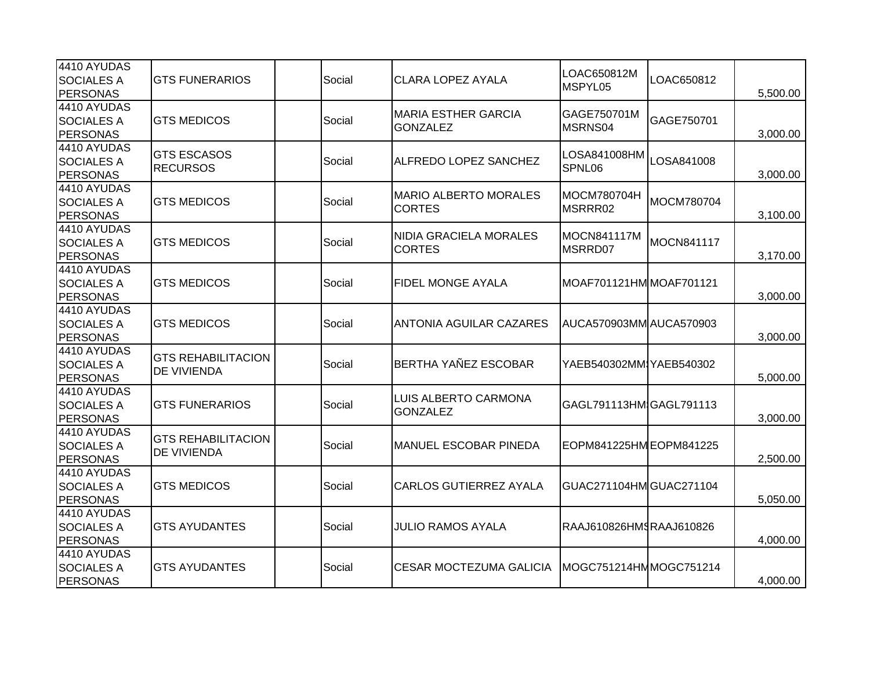| 4410 AYUDAS       |                           |  |        |                                | LOAC650812M             |            |          |
|-------------------|---------------------------|--|--------|--------------------------------|-------------------------|------------|----------|
| <b>SOCIALES A</b> | <b>GTS FUNERARIOS</b>     |  | Social | <b>CLARA LOPEZ AYALA</b>       | MSPYL05                 | LOAC650812 |          |
| <b>PERSONAS</b>   |                           |  |        |                                |                         |            | 5,500.00 |
| 4410 AYUDAS       |                           |  |        | <b>MARIA ESTHER GARCIA</b>     | GAGE750701M             |            |          |
| <b>SOCIALES A</b> | <b>GTS MEDICOS</b>        |  | Social | <b>GONZALEZ</b>                | MSRNS04                 | GAGE750701 |          |
| <b>PERSONAS</b>   |                           |  |        |                                |                         |            | 3,000.00 |
| 4410 AYUDAS       | <b>GTS ESCASOS</b>        |  |        |                                | LOSA841008HM            |            |          |
| <b>SOCIALES A</b> | <b>RECURSOS</b>           |  | Social | ALFREDO LOPEZ SANCHEZ          | SPNL06                  | LOSA841008 |          |
| <b>PERSONAS</b>   |                           |  |        |                                |                         |            | 3,000.00 |
| 4410 AYUDAS       |                           |  |        | <b>MARIO ALBERTO MORALES</b>   | MOCM780704H             |            |          |
| <b>SOCIALES A</b> | <b>GTS MEDICOS</b>        |  | Social | <b>CORTES</b>                  | MSRRR02                 | MOCM780704 |          |
| <b>PERSONAS</b>   |                           |  |        |                                |                         |            | 3,100.00 |
| 4410 AYUDAS       |                           |  |        | NIDIA GRACIELA MORALES         | <b>MOCN841117M</b>      |            |          |
| <b>SOCIALES A</b> | <b>GTS MEDICOS</b>        |  | Social | <b>CORTES</b>                  | MSRRD07                 | MOCN841117 |          |
| <b>PERSONAS</b>   |                           |  |        |                                |                         |            | 3,170.00 |
| 4410 AYUDAS       |                           |  |        |                                |                         |            |          |
| <b>SOCIALES A</b> | <b>GTS MEDICOS</b>        |  | Social | FIDEL MONGE AYALA              | MOAF701121HMMOAF701121  |            |          |
| <b>PERSONAS</b>   |                           |  |        |                                |                         |            | 3,000.00 |
| 4410 AYUDAS       |                           |  |        |                                |                         |            |          |
| <b>SOCIALES A</b> | <b>GTS MEDICOS</b>        |  | Social | <b>ANTONIA AGUILAR CAZARES</b> | AUCA570903MM AUCA570903 |            |          |
| <b>PERSONAS</b>   |                           |  |        |                                |                         |            | 3,000.00 |
| 4410 AYUDAS       | <b>GTS REHABILITACION</b> |  |        |                                |                         |            |          |
| <b>SOCIALES A</b> |                           |  | Social | BERTHA YAÑEZ ESCOBAR           | YAEB540302MMIYAEB540302 |            |          |
| <b>PERSONAS</b>   | DE VIVIENDA               |  |        |                                |                         |            | 5,000.00 |
| 4410 AYUDAS       |                           |  |        | <b>LUIS ALBERTO CARMONA</b>    |                         |            |          |
| <b>SOCIALES A</b> | <b>GTS FUNERARIOS</b>     |  | Social | <b>GONZALEZ</b>                | GAGL791113HM GAGL791113 |            |          |
| <b>PERSONAS</b>   |                           |  |        |                                |                         |            | 3,000.00 |
| 4410 AYUDAS       | <b>GTS REHABILITACION</b> |  |        |                                |                         |            |          |
| <b>SOCIALES A</b> | DE VIVIENDA               |  | Social | <b>MANUEL ESCOBAR PINEDA</b>   | EOPM841225HM EOPM841225 |            |          |
| <b>PERSONAS</b>   |                           |  |        |                                |                         |            | 2,500.00 |
| 4410 AYUDAS       |                           |  |        |                                |                         |            |          |
| <b>SOCIALES A</b> | <b>GTS MEDICOS</b>        |  | Social | <b>CARLOS GUTIERREZ AYALA</b>  | GUAC271104HM GUAC271104 |            |          |
| <b>PERSONAS</b>   |                           |  |        |                                |                         |            | 5,050.00 |
| 4410 AYUDAS       |                           |  |        |                                |                         |            |          |
| <b>SOCIALES A</b> | <b>GTS AYUDANTES</b>      |  | Social | <b>JULIO RAMOS AYALA</b>       | RAAJ610826HMSRAAJ610826 |            |          |
| <b>PERSONAS</b>   |                           |  |        |                                |                         |            | 4,000.00 |
| 4410 AYUDAS       |                           |  |        |                                |                         |            |          |
| <b>SOCIALES A</b> | <b>GTS AYUDANTES</b>      |  | Social | <b>CESAR MOCTEZUMA GALICIA</b> | MOGC751214HMMOGC751214  |            |          |
| <b>PERSONAS</b>   |                           |  |        |                                |                         |            | 4,000.00 |